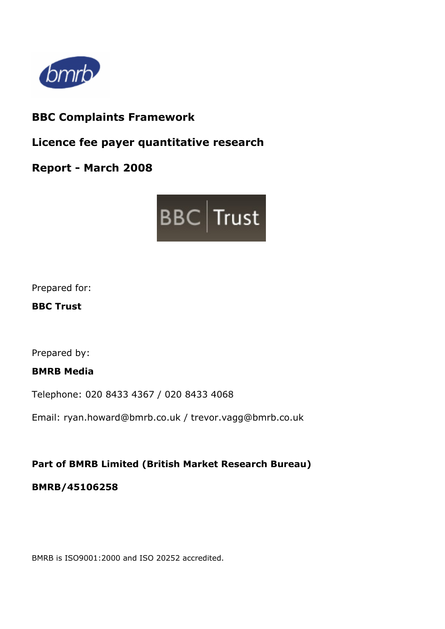

## **BBC Complaints Framework**

**Licence fee payer quantitative research** 

**Report - March 2008** 



Prepared for:

**BBC Trust** 

Prepared by:

**BMRB Media** 

Telephone: 020 8433 4367 / 020 8433 4068

Email: ryan.howard@bmrb.co.uk / trevor.vagg@bmrb.co.uk

## **Part of BMRB Limited (British Market Research Bureau)**

## **BMRB/45106258**

BMRB is ISO9001:2000 and ISO 20252 accredited.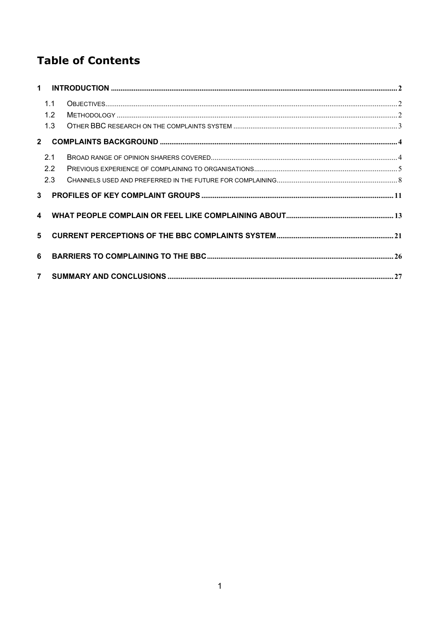# **Table of Contents**

|                | 1.1 |  |
|----------------|-----|--|
|                | 1.2 |  |
|                | 1.3 |  |
| $2^{\circ}$    |     |  |
|                | 2.1 |  |
|                | 2.2 |  |
|                | 2.3 |  |
| 3 <sup>1</sup> |     |  |
|                |     |  |
| 5              |     |  |
| 6              |     |  |
| 7 <sup>7</sup> |     |  |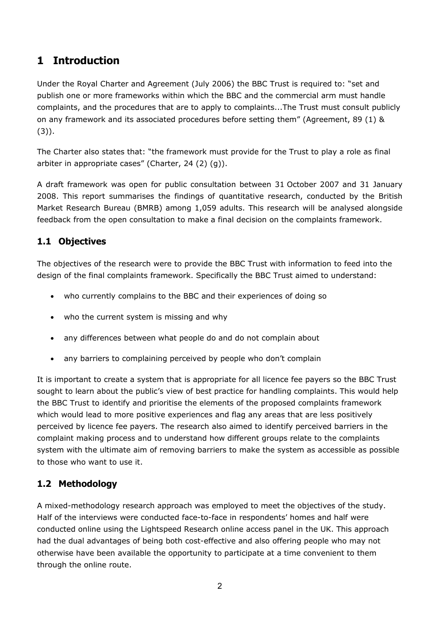## <span id="page-3-0"></span>**1 Introduction**

Under the Royal Charter and Agreement (July 2006) the BBC Trust is required to: "set and publish one or more frameworks within which the BBC and the commercial arm must handle complaints, and the procedures that are to apply to complaints...The Trust must consult publicly on any framework and its associated procedures before setting them" (Agreement, 89 (1) & (3)).

The Charter also states that: "the framework must provide for the Trust to play a role as final arbiter in appropriate cases" (Charter, 24 (2) (g)).

A draft framework was open for public consultation between 31 October 2007 and 31 January 2008. This report summarises the findings of quantitative research, conducted by the British Market Research Bureau (BMRB) among 1,059 adults. This research will be analysed alongside feedback from the open consultation to make a final decision on the complaints framework.

## **1.1 Objectives**

The objectives of the research were to provide the BBC Trust with information to feed into the design of the final complaints framework. Specifically the BBC Trust aimed to understand:

- who currently complains to the BBC and their experiences of doing so
- who the current system is missing and why
- any differences between what people do and do not complain about
- any barriers to complaining perceived by people who don't complain

It is important to create a system that is appropriate for all licence fee payers so the BBC Trust sought to learn about the public's view of best practice for handling complaints. This would help the BBC Trust to identify and prioritise the elements of the proposed complaints framework which would lead to more positive experiences and flag any areas that are less positively perceived by licence fee payers. The research also aimed to identify perceived barriers in the complaint making process and to understand how different groups relate to the complaints system with the ultimate aim of removing barriers to make the system as accessible as possible to those who want to use it.

## **1.2 Methodology**

A mixed-methodology research approach was employed to meet the objectives of the study. Half of the interviews were conducted face-to-face in respondents' homes and half were conducted online using the Lightspeed Research online access panel in the UK. This approach had the dual advantages of being both cost-effective and also offering people who may not otherwise have been available the opportunity to participate at a time convenient to them through the online route.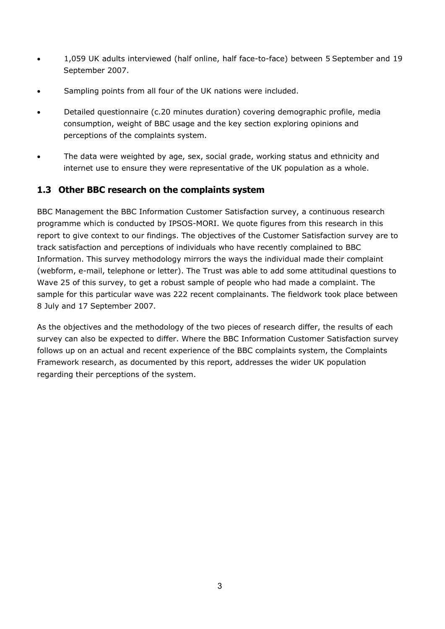- <span id="page-4-0"></span>• 1,059 UK adults interviewed (half online, half face-to-face) between 5 September and 19 September 2007.
- Sampling points from all four of the UK nations were included.
- Detailed questionnaire (c.20 minutes duration) covering demographic profile, media consumption, weight of BBC usage and the key section exploring opinions and perceptions of the complaints system.
- The data were weighted by age, sex, social grade, working status and ethnicity and internet use to ensure they were representative of the UK population as a whole.

### **1.3 Other BBC research on the complaints system**

BBC Management the BBC Information Customer Satisfaction survey, a continuous research programme which is conducted by IPSOS-MORI. We quote figures from this research in this report to give context to our findings. The objectives of the Customer Satisfaction survey are to track satisfaction and perceptions of individuals who have recently complained to BBC Information. This survey methodology mirrors the ways the individual made their complaint (webform, e-mail, telephone or letter). The Trust was able to add some attitudinal questions to Wave 25 of this survey, to get a robust sample of people who had made a complaint. The sample for this particular wave was 222 recent complainants. The fieldwork took place between 8 July and 17 September 2007.

As the objectives and the methodology of the two pieces of research differ, the results of each survey can also be expected to differ. Where the BBC Information Customer Satisfaction survey follows up on an actual and recent experience of the BBC complaints system, the Complaints Framework research, as documented by this report, addresses the wider UK population regarding their perceptions of the system.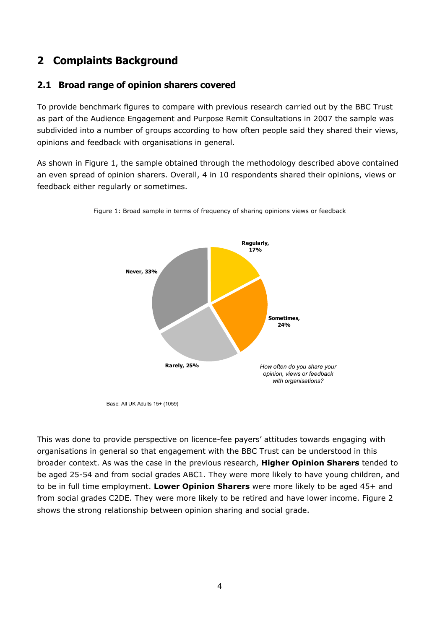## <span id="page-5-0"></span>**2 Complaints Background**

### **2.1 Broad range of opinion sharers covered**

To provide benchmark figures to compare with previous research carried out by the BBC Trust as part of the Audience Engagement and Purpose Remit Consultations in 2007 the sample was subdivided into a number of groups according to how often people said they shared their views, opinions and feedback with organisations in general.

As shown in Figure 1, the sample obtained through the methodology described above contained an even spread of opinion sharers. Overall, 4 in 10 respondents shared their opinions, views or feedback either regularly or sometimes.



Figure 1: Broad sample in terms of frequency of sharing opinions views or feedback

This was done to provide perspective on licence-fee payers' attitudes towards engaging with organisations in general so that engagement with the BBC Trust can be understood in this broader context. As was the case in the previous research, **Higher Opinion Sharers** tended to be aged 25-54 and from social grades ABC1. They were more likely to have young children, and to be in full time employment. **Lower Opinion Sharers** were more likely to be aged 45+ and from social grades C2DE. They were more likely to be retired and have lower income. Figure 2 shows the strong relationship between opinion sharing and social grade.

Base: All UK Adults 15+ (1059)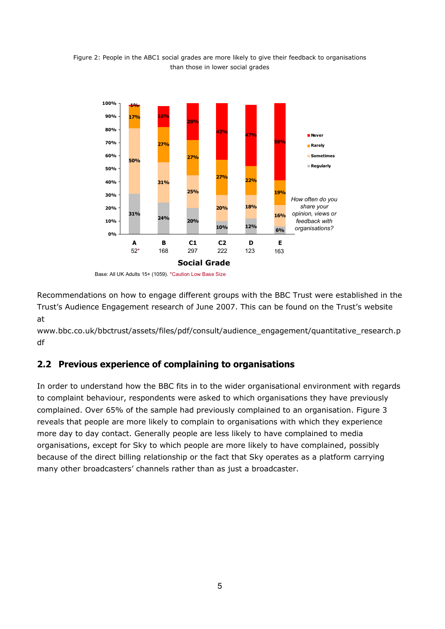

<span id="page-6-0"></span>Figure 2: People in the ABC1 social grades are more likely to give their feedback to organisations than those in lower social grades

Base: All UK Adults 15+ (1059). \*Caution Low Base Size

Recommendations on how to engage different groups with the BBC Trust were established in the Trust's Audience Engagement research of June 2007. This can be found on the Trust's website at

www.bbc.co.uk/bbctrust/assets/files/pdf/consult/audience\_engagement/quantitative\_research.p df

### **2.2 Previous experience of complaining to organisations**

In order to understand how the BBC fits in to the wider organisational environment with regards to complaint behaviour, respondents were asked to which organisations they have previously complained. Over 65% of the sample had previously complained to an organisation. Figure 3 reveals that people are more likely to complain to organisations with which they experience more day to day contact. Generally people are less likely to have complained to media organisations, except for Sky to which people are more likely to have complained, possibly because of the direct billing relationship or the fact that Sky operates as a platform carrying many other broadcasters' channels rather than as just a broadcaster.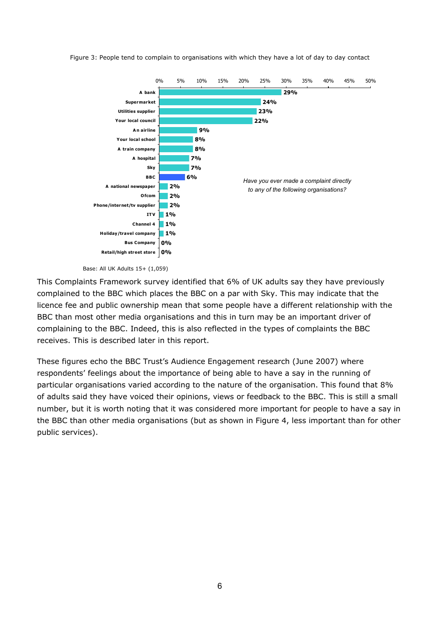



Base: All UK Adults 15+ (1,059)

This Complaints Framework survey identified that 6% of UK adults say they have previously complained to the BBC which places the BBC on a par with Sky. This may indicate that the licence fee and public ownership mean that some people have a different relationship with the BBC than most other media organisations and this in turn may be an important driver of complaining to the BBC. Indeed, this is also reflected in the types of complaints the BBC receives. This is described later in this report.

These figures echo the BBC Trust's Audience Engagement research (June 2007) where respondents' feelings about the importance of being able to have a say in the running of particular organisations varied according to the nature of the organisation. This found that 8% of adults said they have voiced their opinions, views or feedback to the BBC. This is still a small number, but it is worth noting that it was considered more important for people to have a say in the BBC than other media organisations (but as shown in Figure 4, less important than for other public services).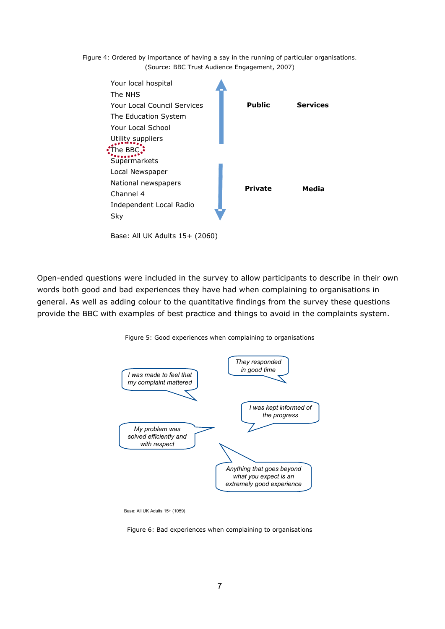Figure 4: Ordered by importance of having a say in the running of particular organisations. (Source: BBC Trust Audience Engagement, 2007)



Open-ended questions were included in the survey to allow participants to describe in their own words both good and bad experiences they have had when complaining to organisations in general. As well as adding colour to the quantitative findings from the survey these questions provide the BBC with examples of best practice and things to avoid in the complaints system.



Figure 5: Good experiences when complaining to organisations

Figure 6: Bad experiences when complaining to organisations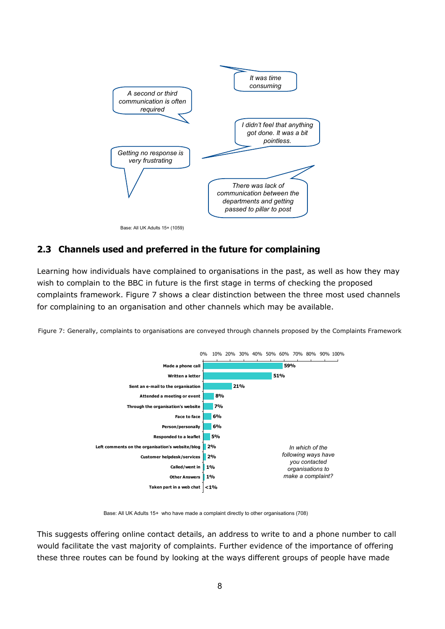<span id="page-9-0"></span>

## **2.3 Channels used and preferred in the future for complaining**

Learning how individuals have complained to organisations in the past, as well as how they may wish to complain to the BBC in future is the first stage in terms of checking the proposed complaints framework. Figure 7 shows a clear distinction between the three most used channels for complaining to an organisation and other channels which may be available.





Base: All UK Adults 15+ who have made a complaint directly to other organisations (708)

This suggests offering online contact details, an address to write to and a phone number to call would facilitate the vast majority of complaints. Further evidence of the importance of offering these three routes can be found by looking at the ways different groups of people have made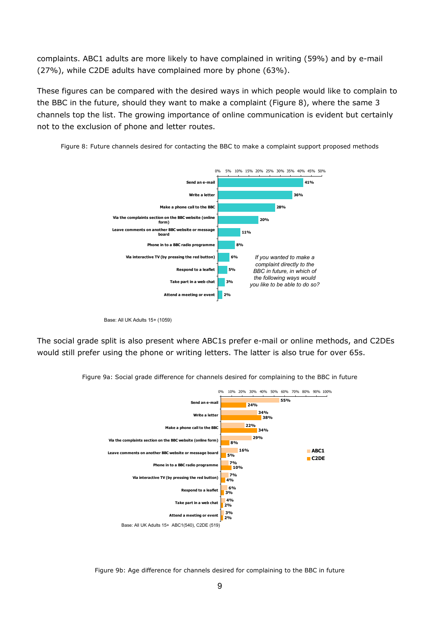complaints. ABC1 adults are more likely to have complained in writing (59%) and by e-mail (27%), while C2DE adults have complained more by phone (63%).

These figures can be compared with the desired ways in which people would like to complain to the BBC in the future, should they want to make a complaint (Figure 8), where the same 3 channels top the list. The growing importance of online communication is evident but certainly not to the exclusion of phone and letter routes.



Figure 8: Future channels desired for contacting the BBC to make a complaint support proposed methods

The social grade split is also present where ABC1s prefer e-mail or online methods, and C2DEs would still prefer using the phone or writing letters. The latter is also true for over 65s.



Figure 9a: Social grade difference for channels desired for complaining to the BBC in future

Figure 9b: Age difference for channels desired for complaining to the BBC in future

Base: All UK Adults 15+ (1059)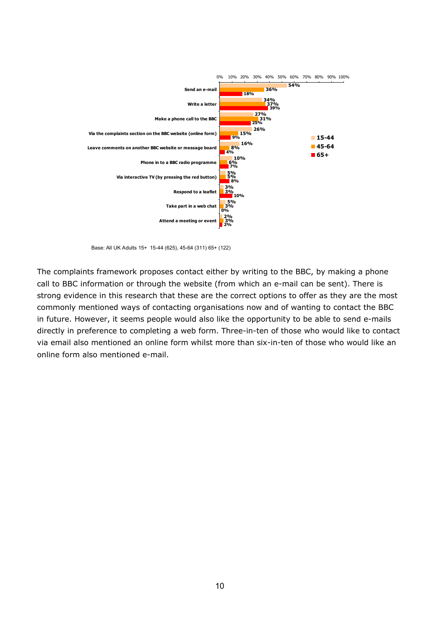

Base: All UK Adults 15+ 15-44 (625), 45-64 (311) 65+ (122)

The complaints framework proposes contact either by writing to the BBC, by making a phone call to BBC information or through the website (from which an e-mail can be sent). There is strong evidence in this research that these are the correct options to offer as they are the most commonly mentioned ways of contacting organisations now and of wanting to contact the BBC in future. However, it seems people would also like the opportunity to be able to send e-mails directly in preference to completing a web form. Three-in-ten of those who would like to contact via email also mentioned an online form whilst more than six-in-ten of those who would like an online form also mentioned e-mail.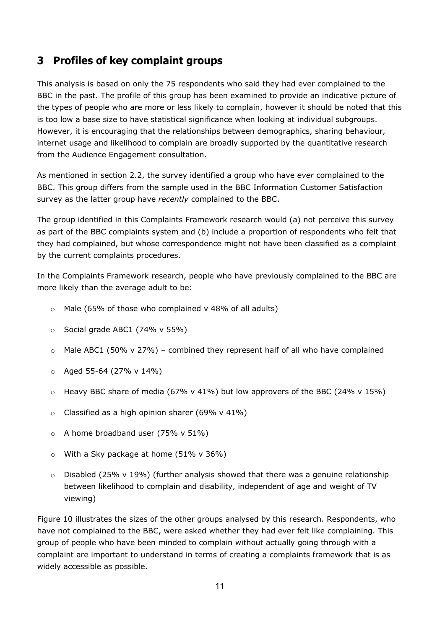## <span id="page-12-0"></span>**3 Profiles of key complaint groups**

This analysis is based on only the 75 respondents who said they had ever complained to the BBC in the past. The profile of this group has been examined to provide an indicative picture of the types of people who are more or less likely to complain, however it should be noted that this is too low a base size to have statistical significance when looking at individual subgroups. However, it is encouraging that the relationships between demographics, sharing behaviour, internet usage and likelihood to complain are broadly supported by the quantitative research from the Audience Engagement consultation.

As mentioned in section 2.2, the survey identified a group who have *ever* complained to the BBC. This group differs from the sample used in the BBC Information Customer Satisfaction survey as the latter group have *recently* complained to the BBC.

The group identified in this Complaints Framework research would (a) not perceive this survey as part of the BBC complaints system and (b) include a proportion of respondents who felt that they had complained, but whose correspondence might not have been classified as a complaint by the current complaints procedures.

In the Complaints Framework research, people who have previously complained to the BBC are more likely than the average adult to be:

- $\circ$  Male (65% of those who complained v 48% of all adults)
- $\circ$  Social grade ABC1 (74% v 55%)
- $\circ$  Male ABC1 (50% v 27%) combined they represent half of all who have complained
- $\circ$  Aged 55-64 (27% v 14%)
- $\circ$  Heavy BBC share of media (67% v 41%) but low approvers of the BBC (24% v 15%)
- $\circ$  Classified as a high opinion sharer (69% v 41%)
- $\circ$  A home broadband user (75% v 51%)
- $\circ$  With a Sky package at home (51% v 36%)
- $\circ$  Disabled (25% v 19%) (further analysis showed that there was a genuine relationship between likelihood to complain and disability, independent of age and weight of TV viewing)

Figure 10 illustrates the sizes of the other groups analysed by this research. Respondents, who have not complained to the BBC, were asked whether they had ever felt like complaining. This group of people who have been minded to complain without actually going through with a complaint are important to understand in terms of creating a complaints framework that is as widely accessible as possible.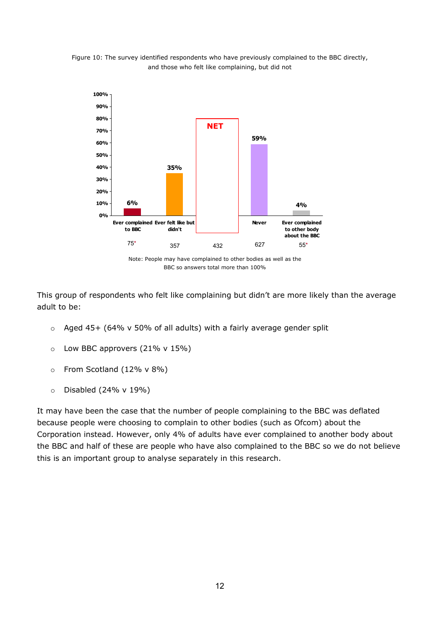

Figure 10: The survey identified respondents who have previously complained to the BBC directly, and those who felt like complaining, but did not

Note: People may have complained to other bodies as well as the BBC so answers total more than 100%

This group of respondents who felt like complaining but didn't are more likely than the average adult to be:

- o Aged 45+ (64% v 50% of all adults) with a fairly average gender split
- $\circ$  Low BBC approvers (21% v 15%)
- o From Scotland (12% v 8%)
- $\circ$  Disabled (24% v 19%)

It may have been the case that the number of people complaining to the BBC was deflated because people were choosing to complain to other bodies (such as Ofcom) about the Corporation instead. However, only 4% of adults have ever complained to another body about the BBC and half of these are people who have also complained to the BBC so we do not believe this is an important group to analyse separately in this research.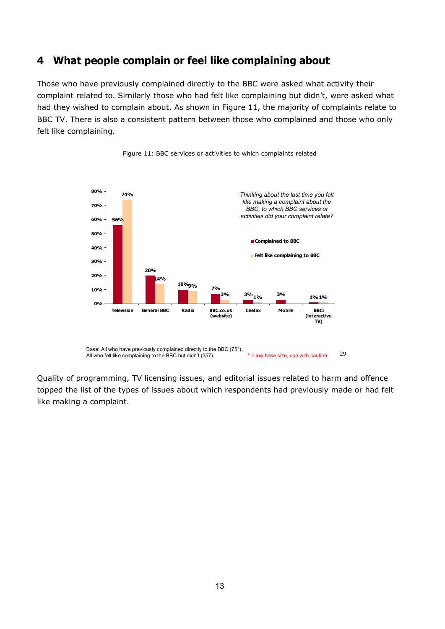## <span id="page-14-0"></span>**4 What people complain or feel like complaining about**

Those who have previously complained directly to the BBC were asked what activity their complaint related to. Similarly those who had felt like complaining but didn't, were asked what had they wished to complain about. As shown in Figure 11, the majority of complaints relate to BBC TV. There is also a consistent pattern between those who complained and those who only felt like complaining.



Figure 11: BBC services or activities to which complaints related

Quality of programming, TV licensing issues, and editorial issues related to harm and offence topped the list of the types of issues about which respondents had previously made or had felt like making a complaint.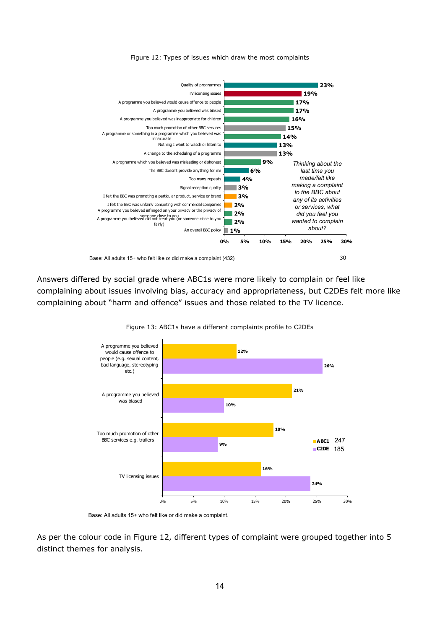



Answers differed by social grade where ABC1s were more likely to complain or feel like complaining about issues involving bias, accuracy and appropriateness, but C2DEs felt more like complaining about "harm and offence" issues and those related to the TV licence.



Figure 13: ABC1s have a different complaints profile to C2DEs

Base: All adults 15+ who felt like or did make a complaint.

As per the colour code in Figure 12, different types of complaint were grouped together into 5 distinct themes for analysis.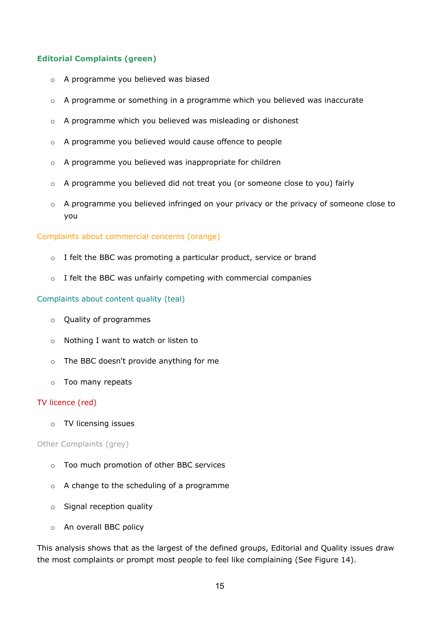#### **Editorial Complaints (green)**

- o A programme you believed was biased
- $\circ$  A programme or something in a programme which you believed was inaccurate
- o A programme which you believed was misleading or dishonest
- o A programme you believed would cause offence to people
- o A programme you believed was inappropriate for children
- o A programme you believed did not treat you (or someone close to you) fairly
- o A programme you believed infringed on your privacy or the privacy of someone close to you

#### Complaints about commercial concerns (orange)

- o I felt the BBC was promoting a particular product, service or brand
- o I felt the BBC was unfairly competing with commercial companies

#### Complaints about content quality (teal)

- o Quality of programmes
- o Nothing I want to watch or listen to
- o The BBC doesn't provide anything for me
- o Too many repeats

#### TV licence (red)

o TV licensing issues

#### Other Complaints (grey)

- o Too much promotion of other BBC services
- o A change to the scheduling of a programme
- o Signal reception quality
- o An overall BBC policy

This analysis shows that as the largest of the defined groups, Editorial and Quality issues draw the most complaints or prompt most people to feel like complaining (See Figure 14).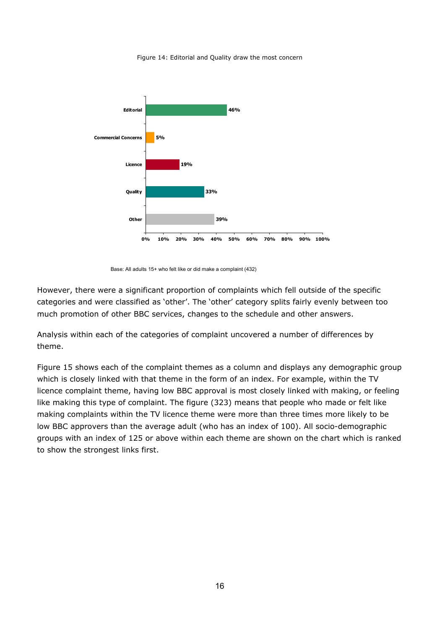Figure 14: Editorial and Quality draw the most concern



Base: All adults 15+ who felt like or did make a complaint (432)

However, there were a significant proportion of complaints which fell outside of the specific categories and were classified as 'other'. The 'other' category splits fairly evenly between too much promotion of other BBC services, changes to the schedule and other answers.

Analysis within each of the categories of complaint uncovered a number of differences by theme.

Figure 15 shows each of the complaint themes as a column and displays any demographic group which is closely linked with that theme in the form of an index. For example, within the TV licence complaint theme, having low BBC approval is most closely linked with making, or feeling like making this type of complaint. The figure (323) means that people who made or felt like making complaints within the TV licence theme were more than three times more likely to be low BBC approvers than the average adult (who has an index of 100). All socio-demographic groups with an index of 125 or above within each theme are shown on the chart which is ranked to show the strongest links first.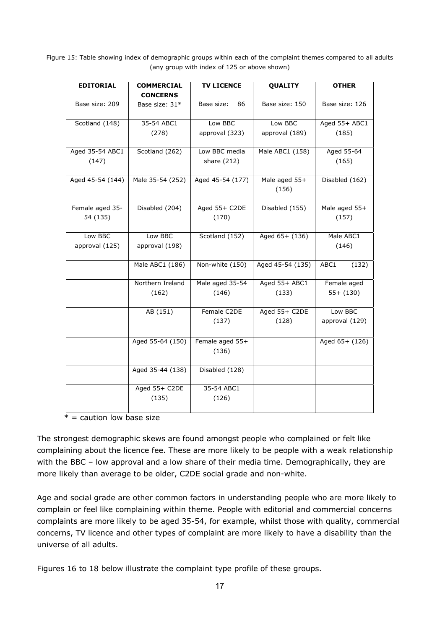Figure 15: Table showing index of demographic groups within each of the complaint themes compared to all adults (any group with index of 125 or above shown)

| <b>EDITORIAL</b> | <b>COMMERCIAL</b> | <b>TV LICENCE</b> | <b>QUALITY</b>   | <b>OTHER</b>   |
|------------------|-------------------|-------------------|------------------|----------------|
|                  | <b>CONCERNS</b>   |                   |                  |                |
| Base size: 209   | Base size: 31*    | Base size:<br>86  | Base size: 150   | Base size: 126 |
|                  |                   |                   |                  |                |
| Scotland (148)   | 35-54 ABC1        | Low BBC           | Low BBC          | Aged 55+ ABC1  |
|                  | (278)             | approval (323)    | approval (189)   | (185)          |
|                  |                   |                   |                  |                |
| Aged 35-54 ABC1  | Scotland (262)    | Low BBC media     | Male ABC1 (158)  | Aged 55-64     |
| (147)            |                   | share (212)       |                  | (165)          |
|                  |                   |                   |                  |                |
| Aged 45-54 (144) | Male 35-54 (252)  | Aged 45-54 (177)  | Male aged 55+    | Disabled (162) |
|                  |                   |                   | (156)            |                |
|                  |                   |                   |                  |                |
| Female aged 35-  | Disabled (204)    | Aged 55+ C2DE     | Disabled (155)   | Male aged 55+  |
| 54 (135)         |                   | (170)             |                  | (157)          |
|                  |                   |                   |                  |                |
| Low BBC          | Low BBC           | Scotland (152)    | Aged 65+ (136)   | Male ABC1      |
| approval (125)   | approval (198)    |                   |                  | (146)          |
|                  |                   |                   |                  |                |
|                  | Male ABC1 (186)   | Non-white (150)   | Aged 45-54 (135) | ABC1<br>(132)  |
|                  |                   |                   |                  |                |
|                  | Northern Ireland  | Male aged 35-54   | Aged 55+ ABC1    | Female aged    |
|                  | (162)             | (146)             | (133)            | $55+ (130)$    |
|                  |                   |                   |                  |                |
|                  | AB (151)          | Female C2DE       | Aged 55+ C2DE    | Low BBC        |
|                  |                   | (137)             | (128)            | approval (129) |
|                  |                   |                   |                  |                |
|                  | Aged 55-64 (150)  | Female aged 55+   |                  | Aged 65+ (126) |
|                  |                   | (136)             |                  |                |
|                  |                   |                   |                  |                |
|                  | Aged 35-44 (138)  | Disabled (128)    |                  |                |
|                  |                   |                   |                  |                |
|                  | Aged 55+ C2DE     | 35-54 ABC1        |                  |                |
|                  | (135)             | (126)             |                  |                |
|                  |                   |                   |                  |                |

 $* =$  caution low base size

The strongest demographic skews are found amongst people who complained or felt like complaining about the licence fee. These are more likely to be people with a weak relationship with the BBC – low approval and a low share of their media time. Demographically, they are more likely than average to be older, C2DE social grade and non-white.

Age and social grade are other common factors in understanding people who are more likely to complain or feel like complaining within theme. People with editorial and commercial concerns complaints are more likely to be aged 35-54, for example, whilst those with quality, commercial concerns, TV licence and other types of complaint are more likely to have a disability than the universe of all adults.

Figures 16 to 18 below illustrate the complaint type profile of these groups.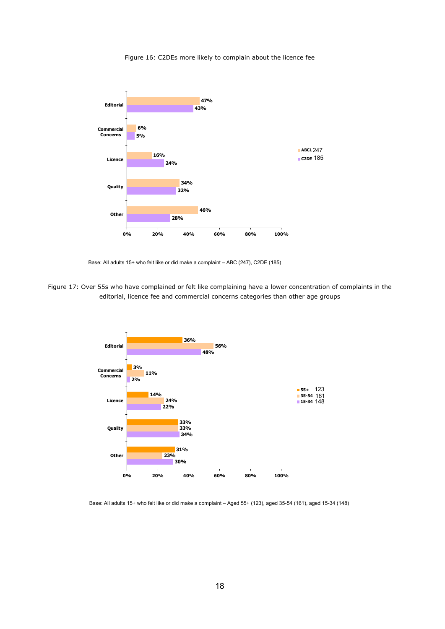#### Figure 16: C2DEs more likely to complain about the licence fee



Base: All adults 15+ who felt like or did make a complaint – ABC (247), C2DE (185)

Figure 17: Over 55s who have complained or felt like complaining have a lower concentration of complaints in the editorial, licence fee and commercial concerns categories than other age groups



Base: All adults 15+ who felt like or did make a complaint – Aged 55+ (123), aged 35-54 (161), aged 15-34 (148)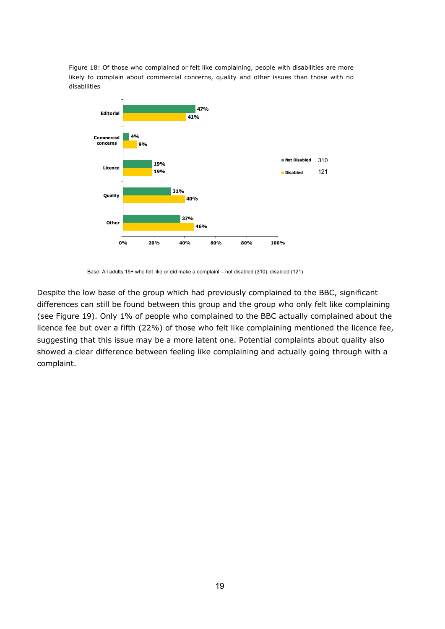Figure 18: Of those who complained or felt like complaining, people with disabilities are more likely to complain about commercial concerns, quality and other issues than those with no disabilities



Base: All adults 15+ who felt like or did make a complaint – not disabled (310), disabled (121)

Despite the low base of the group which had previously complained to the BBC, significant differences can still be found between this group and the group who only felt like complaining (see Figure 19). Only 1% of people who complained to the BBC actually complained about the licence fee but over a fifth (22%) of those who felt like complaining mentioned the licence fee, suggesting that this issue may be a more latent one. Potential complaints about quality also showed a clear difference between feeling like complaining and actually going through with a complaint.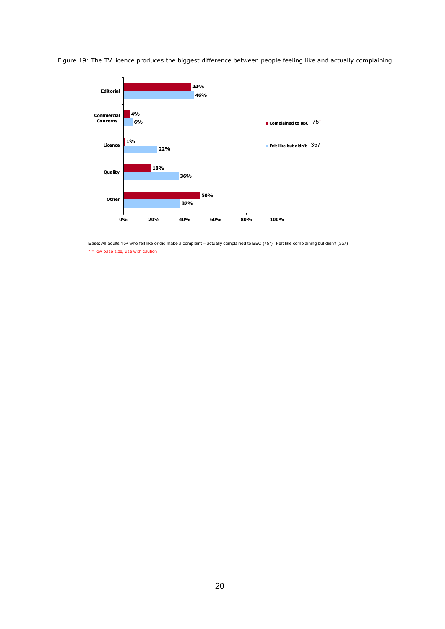



Base: All adults 15+ who felt like or did make a complaint – actually complained to BBC (75\*), Felt like complaining but didn't (357)  $*$  = low base size, use with caution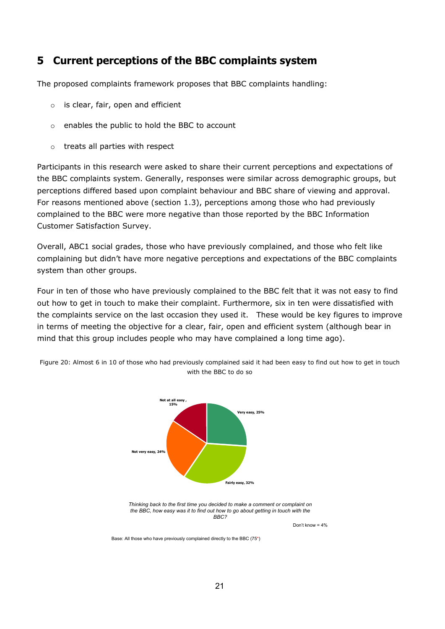## <span id="page-22-0"></span>**5 Current perceptions of the BBC complaints system**

The proposed complaints framework proposes that BBC complaints handling:

- $\circ$  is clear, fair, open and efficient
- o enables the public to hold the BBC to account
- o treats all parties with respect

Participants in this research were asked to share their current perceptions and expectations of the BBC complaints system. Generally, responses were similar across demographic groups, but perceptions differed based upon complaint behaviour and BBC share of viewing and approval. For reasons mentioned above (section 1.3), perceptions among those who had previously complained to the BBC were more negative than those reported by the BBC Information Customer Satisfaction Survey.

Overall, ABC1 social grades, those who have previously complained, and those who felt like complaining but didn't have more negative perceptions and expectations of the BBC complaints system than other groups.

Four in ten of those who have previously complained to the BBC felt that it was not easy to find out how to get in touch to make their complaint. Furthermore, six in ten were dissatisfied with the complaints service on the last occasion they used it. These would be key figures to improve in terms of meeting the objective for a clear, fair, open and efficient system (although bear in mind that this group includes people who may have complained a long time ago).



Figure 20: Almost 6 in 10 of those who had previously complained said it had been easy to find out how to get in touch with the BBC to do so

> *Thinking back to the first time you decided to make a comment or complaint on the BBC, how easy was it to find out how to go about getting in touch with the BBC?*

> > Don't know  $= 4\%$

Base: All those who have previously complained directly to the BBC (75\*)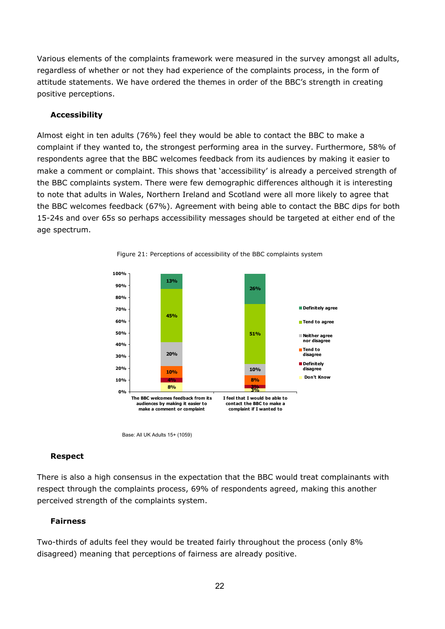Various elements of the complaints framework were measured in the survey amongst all adults, regardless of whether or not they had experience of the complaints process, in the form of attitude statements. We have ordered the themes in order of the BBC's strength in creating positive perceptions.

#### **Accessibility**

Almost eight in ten adults (76%) feel they would be able to contact the BBC to make a complaint if they wanted to, the strongest performing area in the survey. Furthermore, 58% of respondents agree that the BBC welcomes feedback from its audiences by making it easier to make a comment or complaint. This shows that 'accessibility' is already a perceived strength of the BBC complaints system. There were few demographic differences although it is interesting to note that adults in Wales, Northern Ireland and Scotland were all more likely to agree that the BBC welcomes feedback (67%). Agreement with being able to contact the BBC dips for both 15-24s and over 65s so perhaps accessibility messages should be targeted at either end of the age spectrum.





Base: All UK Adults 15+ (1059)

#### **Respect**

There is also a high consensus in the expectation that the BBC would treat complainants with respect through the complaints process, 69% of respondents agreed, making this another perceived strength of the complaints system.

#### **Fairness**

Two-thirds of adults feel they would be treated fairly throughout the process (only 8% disagreed) meaning that perceptions of fairness are already positive.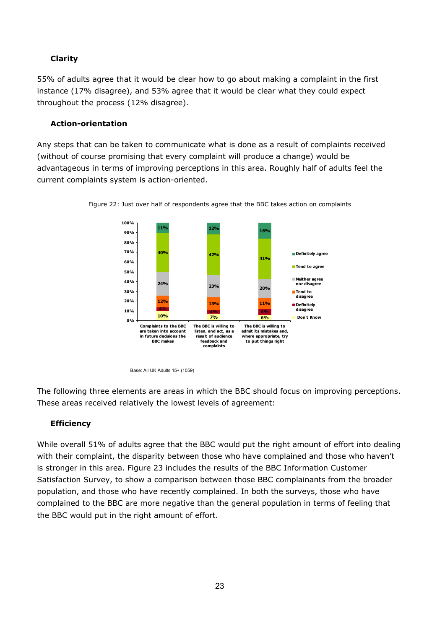### **Clarity**

55% of adults agree that it would be clear how to go about making a complaint in the first instance (17% disagree), and 53% agree that it would be clear what they could expect throughout the process (12% disagree).

#### **Action-orientation**

Any steps that can be taken to communicate what is done as a result of complaints received (without of course promising that every complaint will produce a change) would be advantageous in terms of improving perceptions in this area. Roughly half of adults feel the current complaints system is action-oriented.





Base: All UK Adults 15+ (1059)

The following three elements are areas in which the BBC should focus on improving perceptions. These areas received relatively the lowest levels of agreement:

### **Efficiency**

While overall 51% of adults agree that the BBC would put the right amount of effort into dealing with their complaint, the disparity between those who have complained and those who haven't is stronger in this area. Figure 23 includes the results of the BBC Information Customer Satisfaction Survey, to show a comparison between those BBC complainants from the broader population, and those who have recently complained. In both the surveys, those who have complained to the BBC are more negative than the general population in terms of feeling that the BBC would put in the right amount of effort.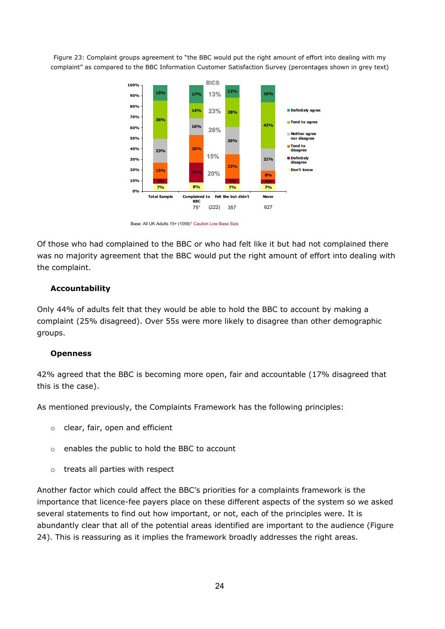Figure 23: Complaint groups agreement to "the BBC would put the right amount of effort into dealing with my complaint" as compared to the BBC Information Customer Satisfaction Survey (percentages shown in grey text)



Base: All UK Adults 15+ (1059)\* Caution Low Base Size

Of those who had complained to the BBC or who had felt like it but had not complained there was no majority agreement that the BBC would put the right amount of effort into dealing with the complaint.

#### **Accountability**

Only 44% of adults felt that they would be able to hold the BBC to account by making a complaint (25% disagreed). Over 55s were more likely to disagree than other demographic groups.

#### **Openness**

42% agreed that the BBC is becoming more open, fair and accountable (17% disagreed that this is the case).

As mentioned previously, the Complaints Framework has the following principles:

- o clear, fair, open and efficient
- o enables the public to hold the BBC to account
- o treats all parties with respect

Another factor which could affect the BBC's priorities for a complaints framework is the importance that licence-fee payers place on these different aspects of the system so we asked several statements to find out how important, or not, each of the principles were. It is abundantly clear that all of the potential areas identified are important to the audience (Figure 24). This is reassuring as it implies the framework broadly addresses the right areas.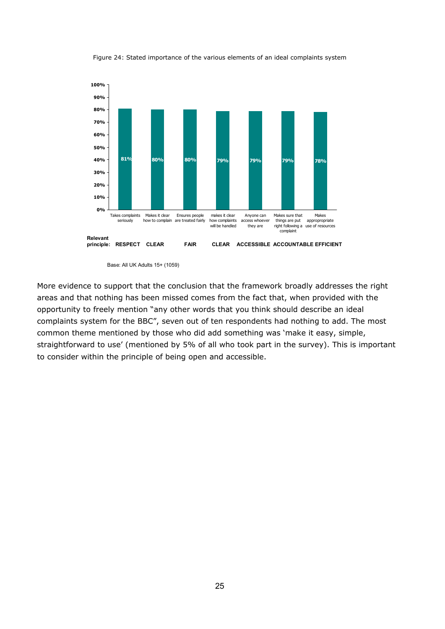

Figure 24: Stated importance of the various elements of an ideal complaints system

Base: All UK Adults 15+ (1059)

More evidence to support that the conclusion that the framework broadly addresses the right areas and that nothing has been missed comes from the fact that, when provided with the opportunity to freely mention "any other words that you think should describe an ideal complaints system for the BBC", seven out of ten respondents had nothing to add. The most common theme mentioned by those who did add something was 'make it easy, simple, straightforward to use' (mentioned by 5% of all who took part in the survey). This is important to consider within the principle of being open and accessible.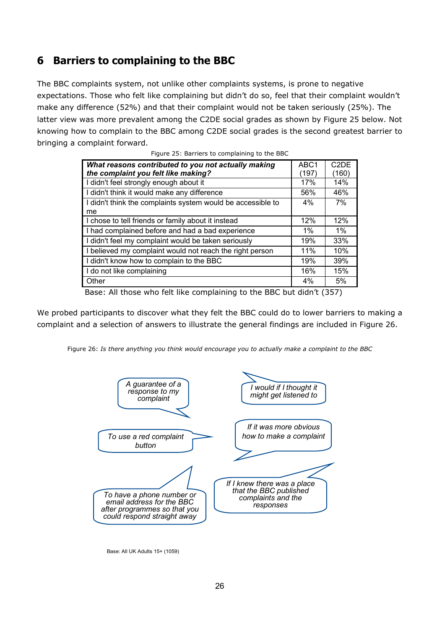## <span id="page-27-0"></span>**6 Barriers to complaining to the BBC**

The BBC complaints system, not unlike other complaints systems, is prone to negative expectations. Those who felt like complaining but didn't do so, feel that their complaint wouldn't make any difference (52%) and that their complaint would not be taken seriously (25%). The latter view was more prevalent among the C2DE social grades as shown by Figure 25 below. Not knowing how to complain to the BBC among C2DE social grades is the second greatest barrier to bringing a complaint forward.

| What reasons contributed to you not actually making<br>the complaint you felt like making? | ABC <sub>1</sub><br>(197) | C <sub>2</sub> D <sub>E</sub><br>(160) |
|--------------------------------------------------------------------------------------------|---------------------------|----------------------------------------|
| I didn't feel strongly enough about it                                                     | 17%                       | 14%                                    |
| I didn't think it would make any difference                                                | 56%                       | 46%                                    |
| I didn't think the complaints system would be accessible to                                | $4\%$                     | 7%                                     |
| me                                                                                         |                           |                                        |
| I chose to tell friends or family about it instead                                         | 12%                       | 12%                                    |
| I had complained before and had a bad experience                                           | $1\%$                     | $1\%$                                  |
| I didn't feel my complaint would be taken seriously                                        | 19%                       | 33%                                    |
| I believed my complaint would not reach the right person                                   | 11%                       | 10%                                    |
| I didn't know how to complain to the BBC                                                   | 19%                       | 39%                                    |
| I do not like complaining                                                                  | 16%                       | 15%                                    |
| Other                                                                                      | 4%                        | 5%                                     |

|  | Figure 25: Barriers to complaining to the BBC |  |
|--|-----------------------------------------------|--|

Base: All those who felt like complaining to the BBC but didn't (357)

We probed participants to discover what they felt the BBC could do to lower barriers to making a complaint and a selection of answers to illustrate the general findings are included in Figure 26.





Base: All UK Adults 15+ (1059)